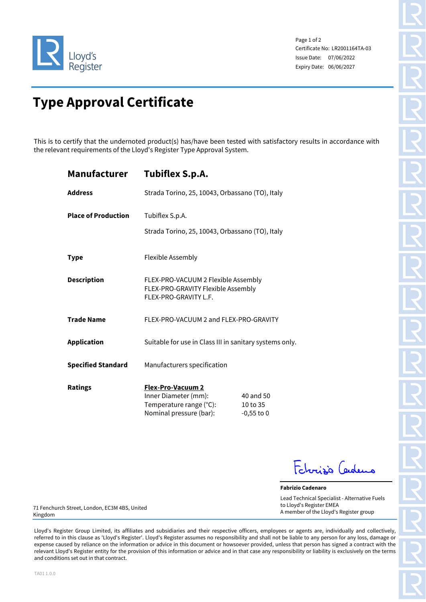

Page 1 of 2 Certificate No: LR2001164TA-03 Issue Date: 07/06/2022 Expiry Date: 06/06/2027

## **Type Approval Certificate**

This is to certify that the undernoted product(s) has/have been tested with satisfactory results in accordance with the relevant requirements of the Lloyd's Register Type Approval System.

| Manufacturer               | <b>Tubiflex S.p.A.</b>                                                                                 |                                       |
|----------------------------|--------------------------------------------------------------------------------------------------------|---------------------------------------|
| <b>Address</b>             | Strada Torino, 25, 10043, Orbassano (TO), Italy                                                        |                                       |
| <b>Place of Production</b> | Tubiflex S.p.A.<br>Strada Torino, 25, 10043, Orbassano (TO), Italy                                     |                                       |
| <b>Type</b>                | <b>Flexible Assembly</b>                                                                               |                                       |
| <b>Description</b>         | FLEX-PRO-VACUUM 2 Flexible Assembly<br>FLEX-PRO-GRAVITY Flexible Assembly<br>FLEX-PRO-GRAVITY L.F.     |                                       |
| <b>Trade Name</b>          | FLEX-PRO-VACUUM 2 and FLEX-PRO-GRAVITY                                                                 |                                       |
| <b>Application</b>         | Suitable for use in Class III in sanitary systems only.                                                |                                       |
| <b>Specified Standard</b>  | Manufacturers specification                                                                            |                                       |
| <b>Ratings</b>             | <b>Flex-Pro-Vacuum 2</b><br>Inner Diameter (mm):<br>Temperature range (°C):<br>Nominal pressure (bar): | 40 and 50<br>10 to 35<br>$-0,55$ to 0 |

Febrisis Cadeus

**Fabrizio Cadenaro** Lead Technical Specialist - Alternative Fuels to Lloyd's Register EMEA A member of the Lloyd's Register group

71 Fenchurch Street, London, EC3M 4BS, United Kingdom

Lloyd's Register Group Limited, its affiliates and subsidiaries and their respective officers, employees or agents are, individually and collectively, referred to in this clause as 'Lloyd's Register'. Lloyd's Register assumes no responsibility and shall not be liable to any person for any loss, damage or expense caused by reliance on the information or advice in this document or howsoever provided, unless that person has signed a contract with the relevant Lloyd's Register entity for the provision of this information or advice and in that case any responsibility or liability is exclusively on the terms and conditions set out in that contract.